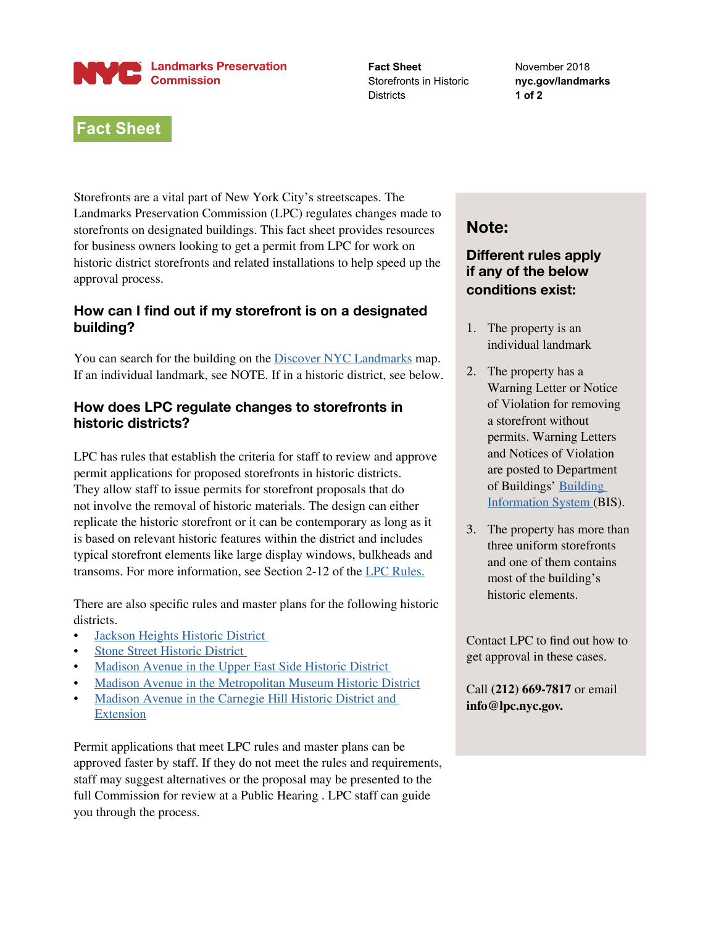#### **Landmarks Preservation Expedit Landmarks P**<br>Commission

**Fact Sheet** Storefronts in Historic **Districts** 

November 2018 **nyc.gov/landmarks 1 of 2**

# **Fact Sheet**

Storefronts are a vital part of New York City's streetscapes. The Landmarks Preservation Commission (LPC) regulates changes made to storefronts on designated buildings. This fact sheet provides resources for business owners looking to get a permit from LPC for work on historic district storefronts and related installations to help speed up the approval process.

## **How can I find out if my storefront is on a designated building?**

You can search for the building on the **[Discover NYC Landmarks](https://nyclpc.maps.arcgis.com/apps/webappviewer/index.html?id=93a88691cace4067828b1eede432022b)** map. If an individual landmark, see NOTE. If in a historic district, see below.

## **How does LPC regulate changes to storefronts in historic districts?**

LPC has rules that establish the criteria for staff to review and approve permit applications for proposed storefronts in historic districts. They allow staff to issue permits for storefront proposals that do not involve the removal of historic materials. The design can either replicate the historic storefront or it can be contemporary as long as it is based on relevant historic features within the district and includes typical storefront elements like large display windows, bulkheads and transoms. For more information, see Section 2-12 of the [LPC Rules.](https://www1.nyc.gov/assets/lpc/downloads/pdf/Rules/Rules%20of%20the%20NYC%20Landmarks%20Preservation%20Commission_01.22.2019.pdf)

There are also specific rules and master plans for the following historic districts.

- [Jackson Heights Historic District](https://www1.nyc.gov/assets/lpc/downloads/pdf/pubs/JH_English.pdf)
- [Stone Street Historic District](https://www1.nyc.gov/assets/lpc/downloads/pdf/pubs/stonestrtplan.pdf)
- Madison Avenue in the Upper East Side Historic District
- [Madison Avenue in the Metropolitan Museum Historic District](https://www1.nyc.gov/assets/lpc/downloads/pdf/pubs/madavemetmp.pdf)
- [Madison Avenue in the Carnegie Hill Historic District and](https://www1.nyc.gov/assets/lpc/downloads/pdf/pubs/madavechillmp.pdf)  [Extension](https://www1.nyc.gov/assets/lpc/downloads/pdf/pubs/madavechillmp.pdf)

Permit applications that meet LPC rules and master plans can be approved faster by staff. If they do not meet the rules and requirements, staff may suggest alternatives or the proposal may be presented to the full Commission for review at a Public Hearing . LPC staff can guide you through the process.

## **Note:**

## **Different rules apply if any of the below conditions exist:**

- 1. The property is an individual landmark
- 2. The property has a Warning Letter or Notice of Violation for removing a storefront without permits. Warning Letters and Notices of Violation are posted to Department of Buildings' [Building](http://a810-bisweb.nyc.gov/bisweb/bispi00.jsp)  [Information System](http://a810-bisweb.nyc.gov/bisweb/bispi00.jsp) (BIS).
- 3. The property has more than three uniform storefronts and one of them contains most of the building's historic elements.

Contact LPC to find out how to get approval in these cases.

Call **(212) 669-7817** or email **info@lpc.nyc.gov.**